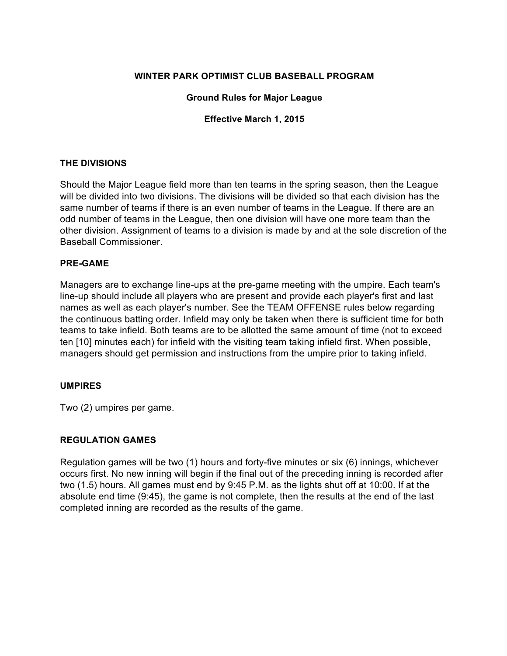### **WINTER PARK OPTIMIST CLUB BASEBALL PROGRAM**

#### **Ground Rules for Major League**

#### **Effective March 1, 2015**

#### **THE DIVISIONS**

Should the Major League field more than ten teams in the spring season, then the League will be divided into two divisions. The divisions will be divided so that each division has the same number of teams if there is an even number of teams in the League. If there are an odd number of teams in the League, then one division will have one more team than the other division. Assignment of teams to a division is made by and at the sole discretion of the Baseball Commissioner.

#### **PRE-GAME**

Managers are to exchange line-ups at the pre-game meeting with the umpire. Each team's line-up should include all players who are present and provide each player's first and last names as well as each player's number. See the TEAM OFFENSE rules below regarding the continuous batting order. Infield may only be taken when there is sufficient time for both teams to take infield. Both teams are to be allotted the same amount of time (not to exceed ten [10] minutes each) for infield with the visiting team taking infield first. When possible, managers should get permission and instructions from the umpire prior to taking infield.

#### **UMPIRES**

Two (2) umpires per game.

#### **REGULATION GAMES**

Regulation games will be two (1) hours and forty-five minutes or six (6) innings, whichever occurs first. No new inning will begin if the final out of the preceding inning is recorded after two (1.5) hours. All games must end by 9:45 P.M. as the lights shut off at 10:00. If at the absolute end time (9:45), the game is not complete, then the results at the end of the last completed inning are recorded as the results of the game.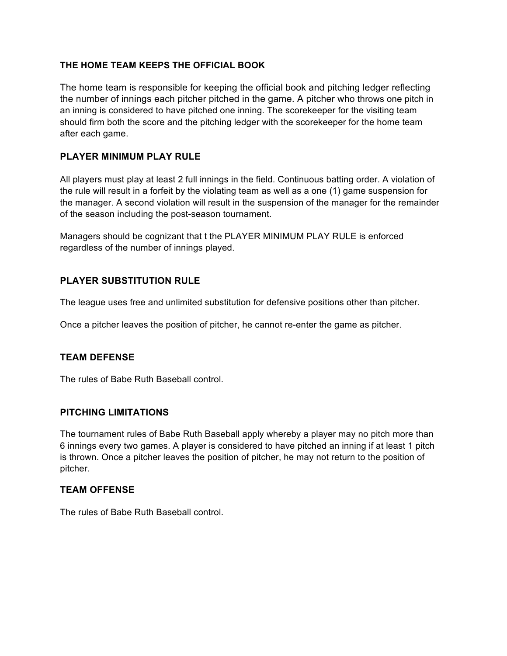## **THE HOME TEAM KEEPS THE OFFICIAL BOOK**

The home team is responsible for keeping the official book and pitching ledger reflecting the number of innings each pitcher pitched in the game. A pitcher who throws one pitch in an inning is considered to have pitched one inning. The scorekeeper for the visiting team should firm both the score and the pitching ledger with the scorekeeper for the home team after each game.

## **PLAYER MINIMUM PLAY RULE**

All players must play at least 2 full innings in the field. Continuous batting order. A violation of the rule will result in a forfeit by the violating team as well as a one (1) game suspension for the manager. A second violation will result in the suspension of the manager for the remainder of the season including the post-season tournament.

Managers should be cognizant that t the PLAYER MINIMUM PLAY RULE is enforced regardless of the number of innings played.

# **PLAYER SUBSTITUTION RULE**

The league uses free and unlimited substitution for defensive positions other than pitcher.

Once a pitcher leaves the position of pitcher, he cannot re-enter the game as pitcher.

# **TEAM DEFENSE**

The rules of Babe Ruth Baseball control.

### **PITCHING LIMITATIONS**

The tournament rules of Babe Ruth Baseball apply whereby a player may no pitch more than 6 innings every two games. A player is considered to have pitched an inning if at least 1 pitch is thrown. Once a pitcher leaves the position of pitcher, he may not return to the position of pitcher.

### **TEAM OFFENSE**

The rules of Babe Ruth Baseball control.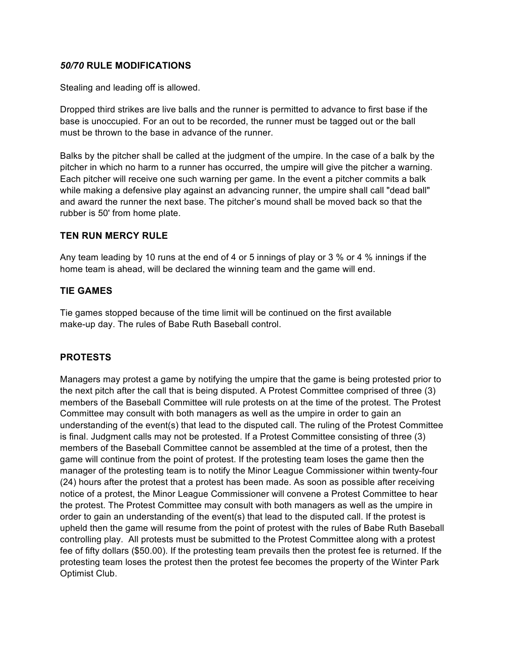### *50/70* **RULE MODIFICATIONS**

Stealing and leading off is allowed.

Dropped third strikes are live balls and the runner is permitted to advance to first base if the base is unoccupied. For an out to be recorded, the runner must be tagged out or the ball must be thrown to the base in advance of the runner.

Balks by the pitcher shall be called at the judgment of the umpire. In the case of a balk by the pitcher in which no harm to a runner has occurred, the umpire will give the pitcher a warning. Each pitcher will receive one such warning per game. In the event a pitcher commits a balk while making a defensive play against an advancing runner, the umpire shall call "dead ball" and award the runner the next base. The pitcher's mound shall be moved back so that the rubber is 50' from home plate.

### **TEN RUN MERCY RULE**

Any team leading by 10 runs at the end of 4 or 5 innings of play or 3 % or 4 % innings if the home team is ahead, will be declared the winning team and the game will end.

### **TIE GAMES**

Tie games stopped because of the time limit will be continued on the first available make-up day. The rules of Babe Ruth Baseball control.

# **PROTESTS**

Managers may protest a game by notifying the umpire that the game is being protested prior to the next pitch after the call that is being disputed. A Protest Committee comprised of three (3) members of the Baseball Committee will rule protests on at the time of the protest. The Protest Committee may consult with both managers as well as the umpire in order to gain an understanding of the event(s) that lead to the disputed call. The ruling of the Protest Committee is final. Judgment calls may not be protested. If a Protest Committee consisting of three (3) members of the Baseball Committee cannot be assembled at the time of a protest, then the game will continue from the point of protest. If the protesting team loses the game then the manager of the protesting team is to notify the Minor League Commissioner within twenty-four (24) hours after the protest that a protest has been made. As soon as possible after receiving notice of a protest, the Minor League Commissioner will convene a Protest Committee to hear the protest. The Protest Committee may consult with both managers as well as the umpire in order to gain an understanding of the event(s) that lead to the disputed call. If the protest is upheld then the game will resume from the point of protest with the rules of Babe Ruth Baseball controlling play. All protests must be submitted to the Protest Committee along with a protest fee of fifty dollars (\$50.00). If the protesting team prevails then the protest fee is returned. If the protesting team loses the protest then the protest fee becomes the property of the Winter Park Optimist Club.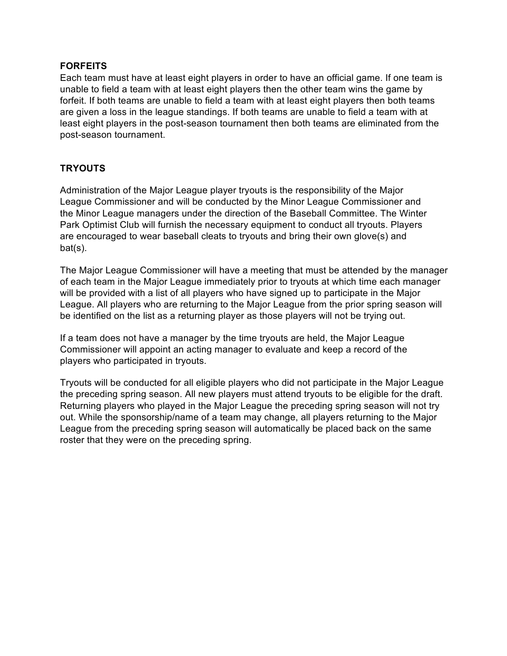## **FORFEITS**

Each team must have at least eight players in order to have an official game. If one team is unable to field a team with at least eight players then the other team wins the game by forfeit. If both teams are unable to field a team with at least eight players then both teams are given a loss in the league standings. If both teams are unable to field a team with at least eight players in the post-season tournament then both teams are eliminated from the post-season tournament.

# **TRYOUTS**

Administration of the Major League player tryouts is the responsibility of the Major League Commissioner and will be conducted by the Minor League Commissioner and the Minor League managers under the direction of the Baseball Committee. The Winter Park Optimist Club will furnish the necessary equipment to conduct all tryouts. Players are encouraged to wear baseball cleats to tryouts and bring their own glove(s) and bat(s).

The Major League Commissioner will have a meeting that must be attended by the manager of each team in the Major League immediately prior to tryouts at which time each manager will be provided with a list of all players who have signed up to participate in the Major League. All players who are returning to the Major League from the prior spring season will be identified on the list as a returning player as those players will not be trying out.

If a team does not have a manager by the time tryouts are held, the Major League Commissioner will appoint an acting manager to evaluate and keep a record of the players who participated in tryouts.

Tryouts will be conducted for all eligible players who did not participate in the Major League the preceding spring season. All new players must attend tryouts to be eligible for the draft. Returning players who played in the Major League the preceding spring season will not try out. While the sponsorship/name of a team may change, all players returning to the Major League from the preceding spring season will automatically be placed back on the same roster that they were on the preceding spring.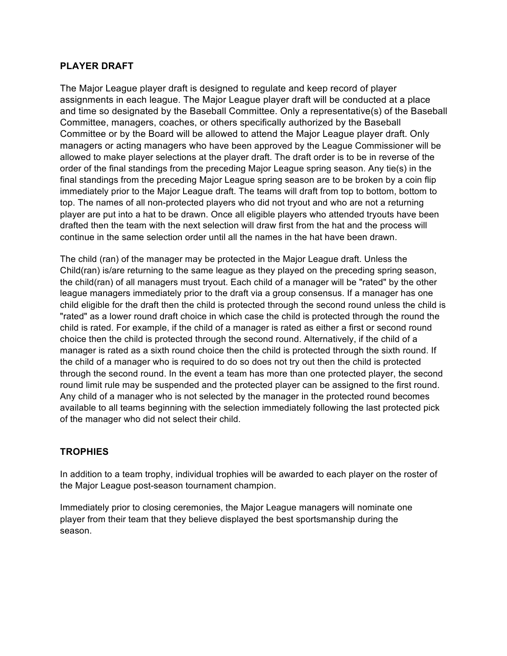## **PLAYER DRAFT**

The Major League player draft is designed to regulate and keep record of player assignments in each league. The Major League player draft will be conducted at a place and time so designated by the Baseball Committee. Only a representative(s) of the Baseball Committee, managers, coaches, or others specifically authorized by the Baseball Committee or by the Board will be allowed to attend the Major League player draft. Only managers or acting managers who have been approved by the League Commissioner will be allowed to make player selections at the player draft. The draft order is to be in reverse of the order of the final standings from the preceding Major League spring season. Any tie(s) in the final standings from the preceding Major League spring season are to be broken by a coin flip immediately prior to the Major League draft. The teams will draft from top to bottom, bottom to top. The names of all non-protected players who did not tryout and who are not a returning player are put into a hat to be drawn. Once all eligible players who attended tryouts have been drafted then the team with the next selection will draw first from the hat and the process will continue in the same selection order until all the names in the hat have been drawn.

The child (ran) of the manager may be protected in the Major League draft. Unless the Child(ran) is/are returning to the same league as they played on the preceding spring season, the child(ran) of all managers must tryout. Each child of a manager will be "rated" by the other league managers immediately prior to the draft via a group consensus. If a manager has one child eligible for the draft then the child is protected through the second round unless the child is "rated" as a lower round draft choice in which case the child is protected through the round the child is rated. For example, if the child of a manager is rated as either a first or second round choice then the child is protected through the second round. Alternatively, if the child of a manager is rated as a sixth round choice then the child is protected through the sixth round. If the child of a manager who is required to do so does not try out then the child is protected through the second round. In the event a team has more than one protected player, the second round limit rule may be suspended and the protected player can be assigned to the first round. Any child of a manager who is not selected by the manager in the protected round becomes available to all teams beginning with the selection immediately following the last protected pick of the manager who did not select their child.

# **TROPHIES**

In addition to a team trophy, individual trophies will be awarded to each player on the roster of the Major League post-season tournament champion.

Immediately prior to closing ceremonies, the Major League managers will nominate one player from their team that they believe displayed the best sportsmanship during the season.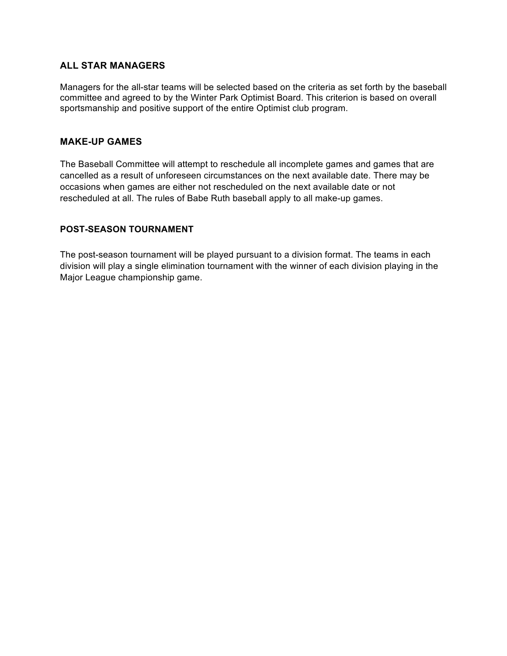## **ALL STAR MANAGERS**

Managers for the all-star teams will be selected based on the criteria as set forth by the baseball committee and agreed to by the Winter Park Optimist Board. This criterion is based on overall sportsmanship and positive support of the entire Optimist club program.

### **MAKE-UP GAMES**

The Baseball Committee will attempt to reschedule all incomplete games and games that are cancelled as a result of unforeseen circumstances on the next available date. There may be occasions when games are either not rescheduled on the next available date or not rescheduled at all. The rules of Babe Ruth baseball apply to all make-up games.

#### **POST-SEASON TOURNAMENT**

The post-season tournament will be played pursuant to a division format. The teams in each division will play a single elimination tournament with the winner of each division playing in the Major League championship game.